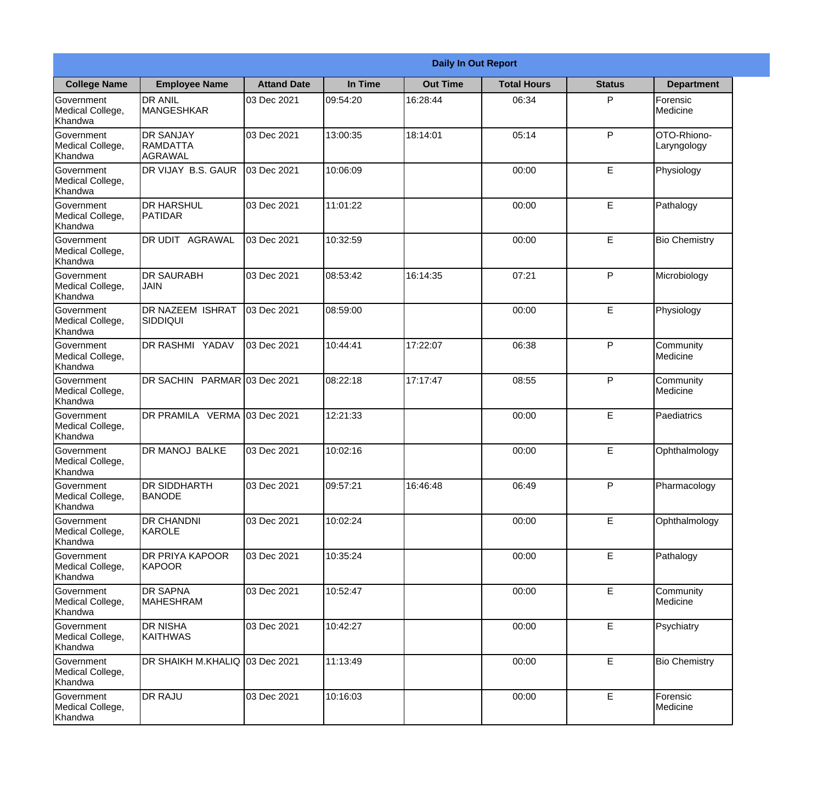|                                                  | <b>Daily In Out Report</b>                     |                    |          |                 |                    |               |                             |
|--------------------------------------------------|------------------------------------------------|--------------------|----------|-----------------|--------------------|---------------|-----------------------------|
| <b>College Name</b>                              | <b>Employee Name</b>                           | <b>Attand Date</b> | In Time  | <b>Out Time</b> | <b>Total Hours</b> | <b>Status</b> | <b>Department</b>           |
| Government<br>Medical College,<br>Khandwa        | <b>DR ANIL</b><br><b>MANGESHKAR</b>            | 03 Dec 2021        | 09:54:20 | 16:28:44        | 06:34              | P             | Forensic<br><b>Medicine</b> |
| Government<br>Medical College,<br>Khandwa        | <b>DR SANJAY</b><br><b>RAMDATTA</b><br>AGRAWAL | 03 Dec 2021        | 13:00:35 | 18:14:01        | 05:14              | P             | OTO-Rhiono-<br>Laryngology  |
| <b>Government</b><br>Medical College,<br>Khandwa | DR VIJAY B.S. GAUR                             | 03 Dec 2021        | 10:06:09 |                 | 00:00              | E             | Physiology                  |
| Government<br>Medical College,<br>Khandwa        | <b>DR HARSHUL</b><br>PATIDAR                   | 03 Dec 2021        | 11:01:22 |                 | 00:00              | E             | Pathalogy                   |
| Government<br>Medical College,<br>Khandwa        | <b>DR UDIT AGRAWAL</b>                         | 03 Dec 2021        | 10:32:59 |                 | 00:00              | E             | <b>Bio Chemistry</b>        |
| Government<br>Medical College,<br>Khandwa        | <b>DR SAURABH</b><br><b>JAIN</b>               | 03 Dec 2021        | 08:53:42 | 16:14:35        | 07:21              | P             | Microbiology                |
| Government<br>Medical College,<br>Khandwa        | <b>DR NAZEEM ISHRAT</b><br>SIDDIQUI            | 03 Dec 2021        | 08:59:00 |                 | 00:00              | E             | Physiology                  |
| Government<br>Medical College,<br>Khandwa        | DR RASHMI YADAV                                | 03 Dec 2021        | 10:44:41 | 17:22:07        | 06:38              | P             | Community<br>Medicine       |
| Government<br>Medical College,<br>Khandwa        | DR SACHIN PARMAR 03 Dec 2021                   |                    | 08:22:18 | 17:17:47        | 08:55              | P             | Community<br>Medicine       |
| Government<br>Medical College,<br>Khandwa        | DR PRAMILA VERMA 03 Dec 2021                   |                    | 12:21:33 |                 | 00:00              | E             | Paediatrics                 |
| Government<br>Medical College,<br>Khandwa        | <b>IDR MANOJ BALKE</b>                         | 03 Dec 2021        | 10:02:16 |                 | 00:00              | E             | Ophthalmology               |
| Government<br>Medical College,<br>Khandwa        | <b>DR SIDDHARTH</b><br><b>BANODE</b>           | 03 Dec 2021        | 09:57:21 | 16:46:48        | 06:49              | P             | Pharmacology                |
| Government<br>Medical College,<br>Khandwa        | <b>DR CHANDNI</b><br>KAROLE                    | 03 Dec 2021        | 10:02:24 |                 | 00:00              | E             | Ophthalmology               |
| Government<br>Medical College,<br>Khandwa        | <b>DR PRIYA KAPOOR</b><br>KAPOOR               | 03 Dec 2021        | 10:35:24 |                 | 00:00              | E             | Pathalogy                   |
| Government<br>Medical College,<br>Khandwa        | <b>DR SAPNA</b><br><b>MAHESHRAM</b>            | 03 Dec 2021        | 10:52:47 |                 | 00:00              | E             | Community<br>Medicine       |
| Government<br>Medical College,<br>Khandwa        | <b>DR NISHA</b><br><b>KAITHWAS</b>             | 03 Dec 2021        | 10:42:27 |                 | 00:00              | $\mathsf E$   | Psychiatry                  |
| Government<br>Medical College,<br>Khandwa        | DR SHAIKH M.KHALIQ 03 Dec 2021                 |                    | 11:13:49 |                 | 00:00              | E             | <b>Bio Chemistry</b>        |
| Government<br>Medical College,<br>Khandwa        | <b>DR RAJU</b>                                 | 03 Dec 2021        | 10:16:03 |                 | 00:00              | E             | Forensic<br>Medicine        |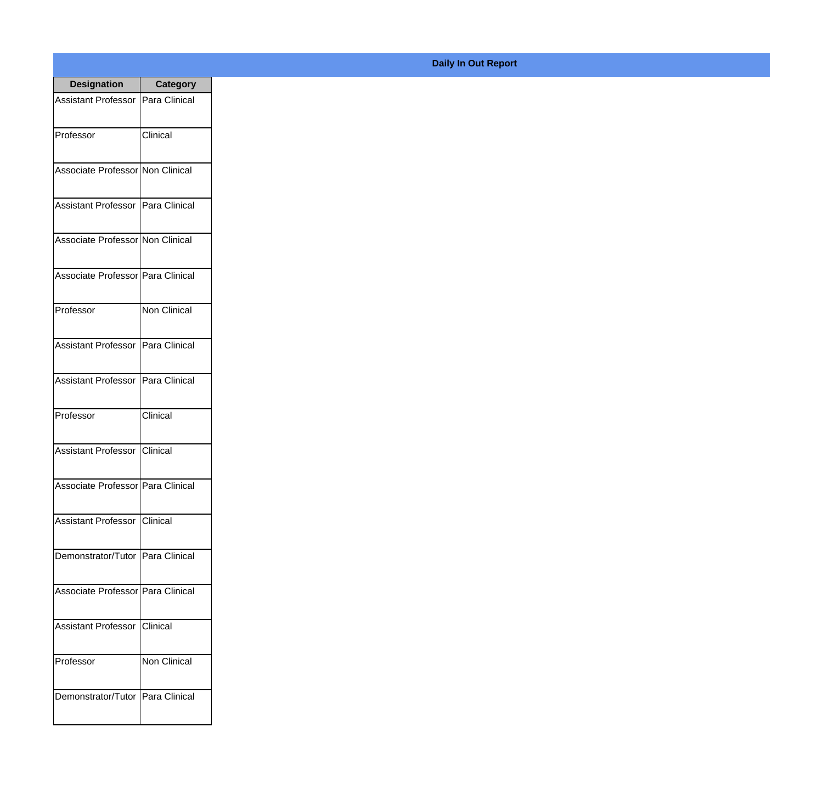| <b>Designation</b>                  | <b>Category</b>     |
|-------------------------------------|---------------------|
| Assistant Professor   Para Clinical |                     |
| Professor                           | Clinical            |
| Associate Professor Non Clinical    |                     |
| Assistant Professor   Para Clinical |                     |
| Associate Professor Non Clinical    |                     |
| Associate Professor   Para Clinical |                     |
| Professor                           | <b>Non Clinical</b> |
| Assistant Professor   Para Clinical |                     |
| Assistant Professor   Para Clinical |                     |
| Professor                           | Clinical            |
| <b>Assistant Professor</b>          | Clinical            |
| Associate Professor   Para Clinical |                     |
| Assistant Professor Clinical        |                     |
| Demonstrator/Tutor   Para Clinical  |                     |
| Associate Professor Para Clinical   |                     |
| <b>Assistant Professor</b>          | Clinical            |
| Professor                           | <b>Non Clinical</b> |
| Demonstrator/Tutor   Para Clinical  |                     |

## **Daily In Out Report**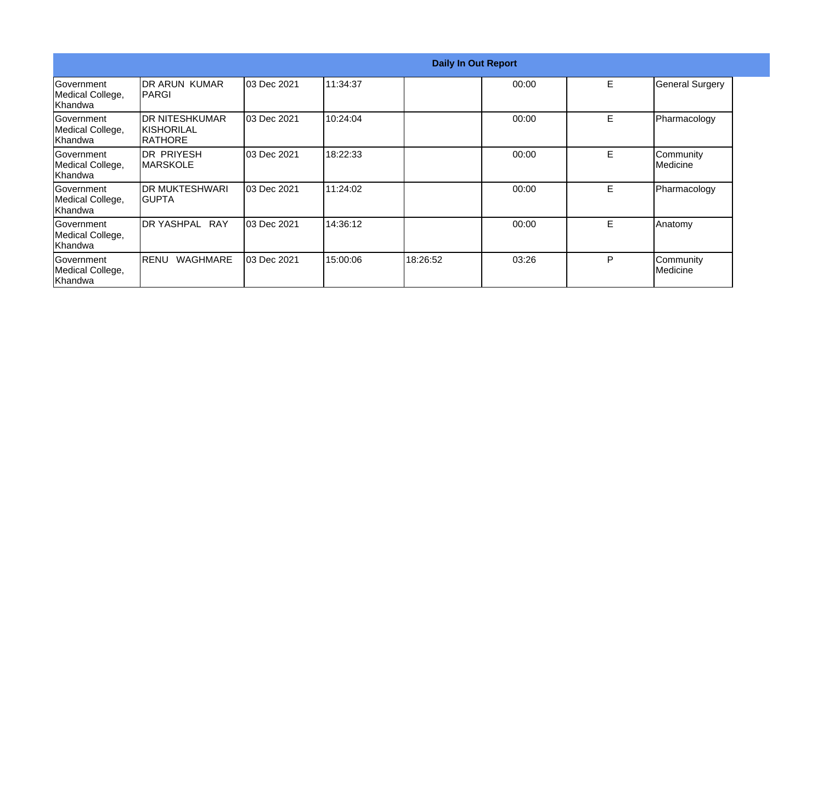|                                                    |                                                         |             |          | <b>Daily In Out Report</b> |       |   |                        |
|----------------------------------------------------|---------------------------------------------------------|-------------|----------|----------------------------|-------|---|------------------------|
| <b>Government</b><br>Medical College,<br> Khandwa  | <b>IDR ARUN KUMAR</b><br><b>PARGI</b>                   | 03 Dec 2021 | 11:34:37 |                            | 00:00 | E | <b>General Surgery</b> |
| <b>Government</b><br>Medical College,<br> Khandwa  | <b>IDR NITESHKUMAR</b><br><b>KISHORILAL</b><br>IRATHORE | 03 Dec 2021 | 10:24:04 |                            | 00:00 | Е | Pharmacology           |
| <b>IGovernment</b><br>Medical College,<br> Khandwa | IDR PRIYESH<br><b>IMARSKOLE</b>                         | 03 Dec 2021 | 18:22:33 |                            | 00:00 | E | Community<br>Medicine  |
| Government<br>Medical College,<br>Khandwa          | <b>IDR MUKTESHWARI</b><br>IGUPTA                        | 03 Dec 2021 | 11:24:02 |                            | 00:00 | E | Pharmacology           |
| <b>Government</b><br>Medical College,<br>Khandwa   | DR YASHPAL RAY                                          | 03 Dec 2021 | 14:36:12 |                            | 00:00 | E | Anatomy                |
| Government<br>Medical College,<br>Khandwa          | <b>WAGHMARE</b><br><b>IRENU</b>                         | 03 Dec 2021 | 15:00:06 | 18:26:52                   | 03:26 | P | Community<br>Medicine  |